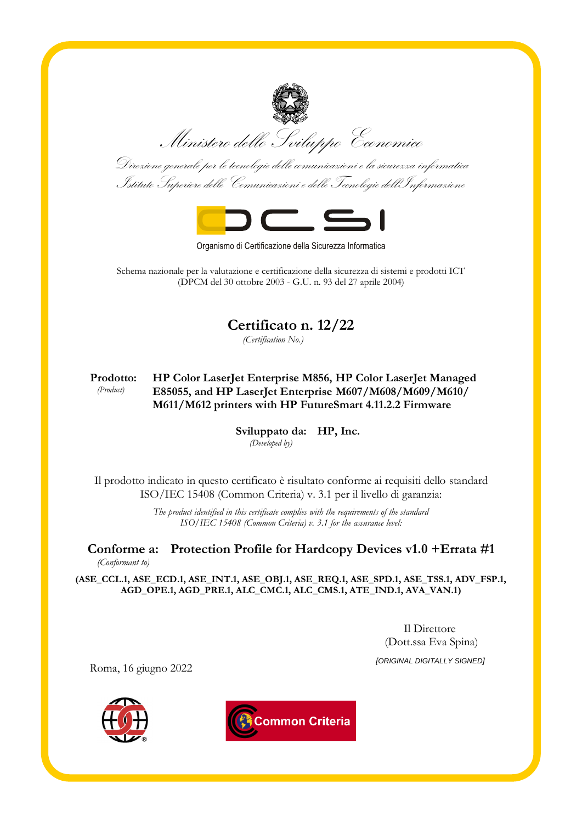Ministero dello Sviluppo Economico Direzione generale per le tecnologie delle comunicazioni e la sicurezza informatica Istituto Superiore delle Comunicazioni e delle Tecnologie dell'Informazione



Organismo di Certificazione della Sicurezza Informatica

Schema nazionale per la valutazione e certificazione della sicurezza di sistemi e prodotti ICT (DPCM del 30 ottobre 2003 - G.U. n. 93 del 27 aprile 2004)

### **Certificato n. 12/22**

*(Certification No.)*

**Prodotto: HP Color LaserJet Enterprise M856, HP Color LaserJet Managed** *(Product)* **E85055, and HP LaserJet Enterprise M607/M608/M609/M610/ M611/M612 printers with HP FutureSmart 4.11.2.2 Firmware**

> **Sviluppato da: HP, Inc.** *(Developed by)*

Il prodotto indicato in questo certificato è risultato conforme ai requisiti dello standard ISO/IEC 15408 (Common Criteria) v. 3.1 per il livello di garanzia:

> *The product identified in this certificate complies with the requirements of the standard ISO/IEC 15408 (Common Criteria) v. 3.1 for the assurance level:*

**Conforme a: Protection Profile for Hardcopy Devices v1.0 +Errata #1** *(Conformant to)*

**(ASE\_CCL.1, ASE\_ECD.1, ASE\_INT.1, ASE\_OBJ.1, ASE\_REQ.1, ASE\_SPD.1, ASE\_TSS.1, ADV\_FSP.1, AGD\_OPE.1, AGD\_PRE.1, ALC\_CMC.1, ALC\_CMS.1, ATE\_IND.1, AVA\_VAN.1)**

> Il Direttore (Dott.ssa Eva Spina)

*[ORIGINAL DIGITALLY SIGNED]*

Roma, 16 giugno 2022



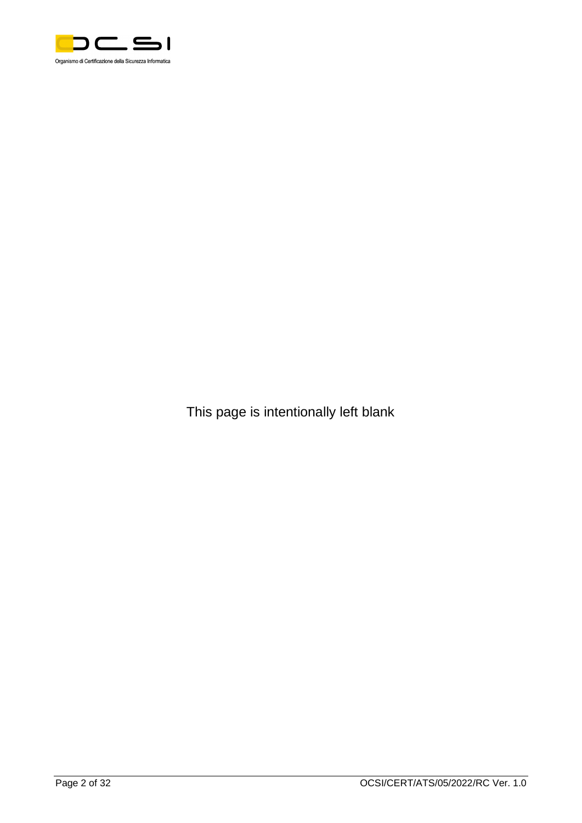

This page is intentionally left blank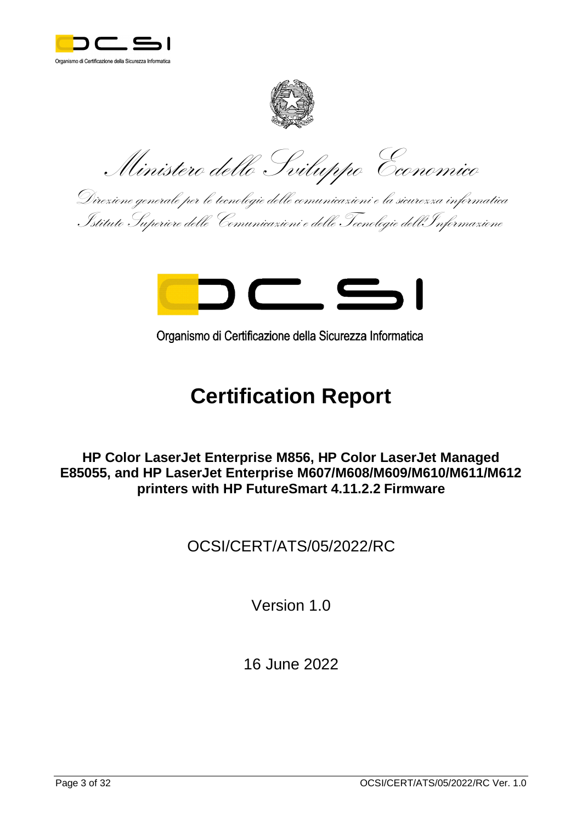



Ministero dello Sviluppo Economico

Direzione generale per le tecnologie delle comunicazioni e la sicurezza informatica Istituto Superiore delle Comunicazioni e delle Tecnologie dell'Informazione



Organismo di Certificazione della Sicurezza Informatica

# **Certification Report**

**HP Color LaserJet Enterprise M856, HP Color LaserJet Managed E85055, and HP LaserJet Enterprise M607/M608/M609/M610/M611/M612 printers with HP FutureSmart 4.11.2.2 Firmware**

OCSI/CERT/ATS/05/2022/RC

Version 1.0

16 June 2022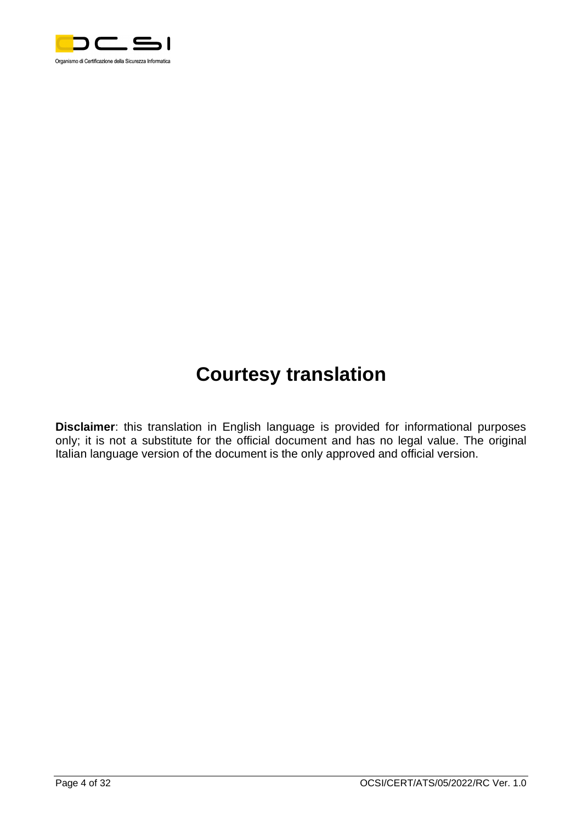

## **Courtesy translation**

**Disclaimer**: this translation in English language is provided for informational purposes only; it is not a substitute for the official document and has no legal value. The original Italian language version of the document is the only approved and official version.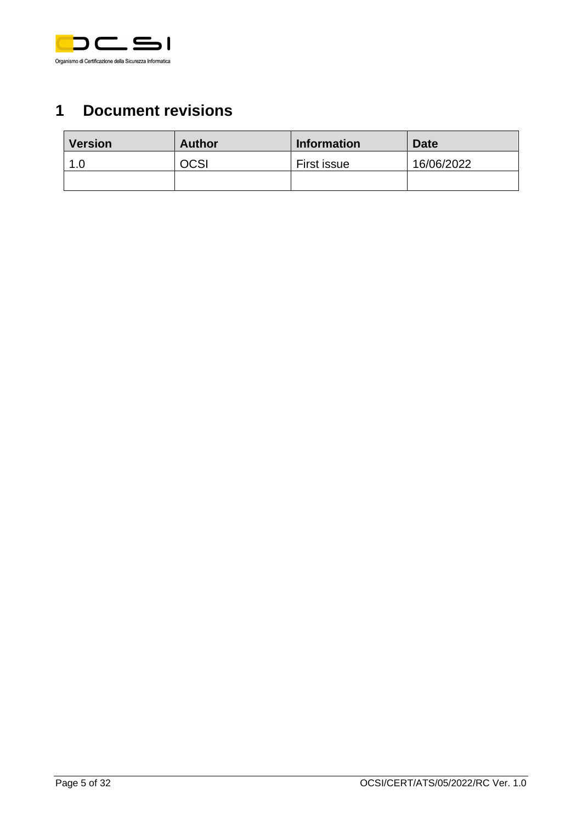

### <span id="page-4-0"></span>**1 Document revisions**

| <b>Version</b> | <b>Author</b> | <b>Information</b> | <b>Date</b> |
|----------------|---------------|--------------------|-------------|
|                | <b>OCSI</b>   | First issue        | 16/06/2022  |
|                |               |                    |             |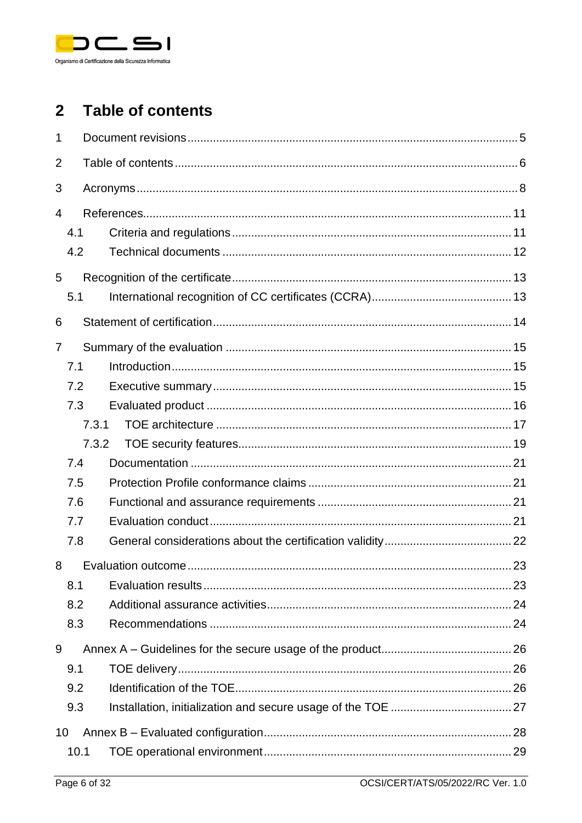

#### <span id="page-5-0"></span>**Table of contents**  $\overline{2}$

| $\overline{2}$<br>3<br>4<br>4.1<br>4.2<br>5<br>5.1<br>6<br>7<br>7.1<br>7.2<br>7.3<br>7.3.1 |  |
|--------------------------------------------------------------------------------------------|--|
|                                                                                            |  |
|                                                                                            |  |
|                                                                                            |  |
|                                                                                            |  |
|                                                                                            |  |
|                                                                                            |  |
|                                                                                            |  |
|                                                                                            |  |
|                                                                                            |  |
|                                                                                            |  |
|                                                                                            |  |
|                                                                                            |  |
|                                                                                            |  |
| 7.3.2                                                                                      |  |
| 7.4                                                                                        |  |
| 7.5                                                                                        |  |
| 7.6                                                                                        |  |
| 7.7                                                                                        |  |
| 7.8                                                                                        |  |
| 8                                                                                          |  |
| 8.1                                                                                        |  |
| 8.2                                                                                        |  |
| 8.3                                                                                        |  |
| 9                                                                                          |  |
| 9.1                                                                                        |  |
| 9.2                                                                                        |  |
| 9.3                                                                                        |  |
| 10 <sup>°</sup>                                                                            |  |
| 10.1                                                                                       |  |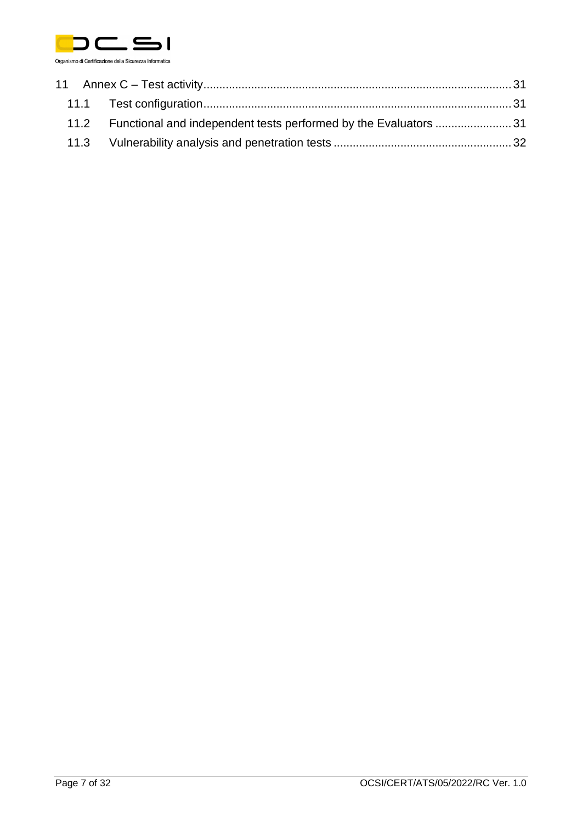

|  | 11.2 Functional and independent tests performed by the Evaluators |  |
|--|-------------------------------------------------------------------|--|
|  |                                                                   |  |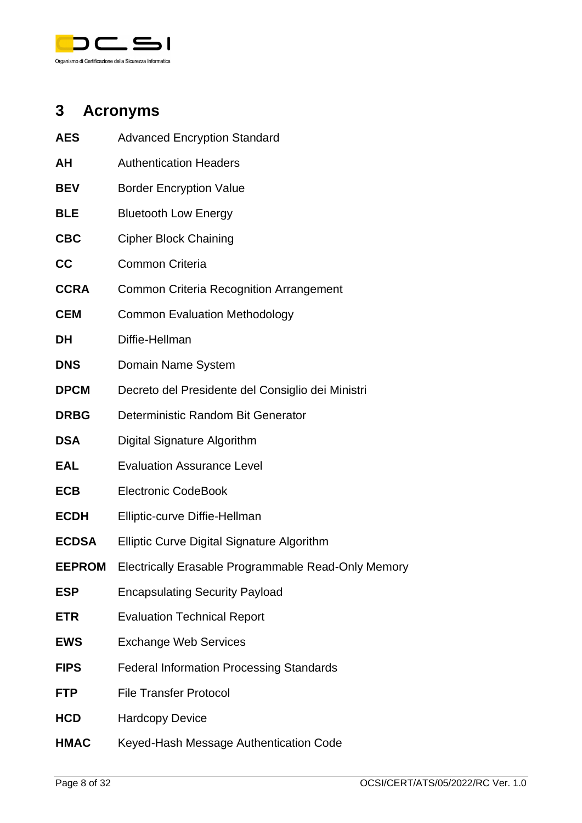

## <span id="page-7-0"></span>**3 Acronyms**

| <b>AES</b>    | <b>Advanced Encryption Standard</b>                 |
|---------------|-----------------------------------------------------|
| ΑH            | <b>Authentication Headers</b>                       |
| <b>BEV</b>    | <b>Border Encryption Value</b>                      |
| <b>BLE</b>    | <b>Bluetooth Low Energy</b>                         |
| <b>CBC</b>    | <b>Cipher Block Chaining</b>                        |
| cc            | <b>Common Criteria</b>                              |
| <b>CCRA</b>   | <b>Common Criteria Recognition Arrangement</b>      |
| <b>CEM</b>    | <b>Common Evaluation Methodology</b>                |
| DH            | Diffie-Hellman                                      |
| <b>DNS</b>    | Domain Name System                                  |
| <b>DPCM</b>   | Decreto del Presidente del Consiglio dei Ministri   |
| <b>DRBG</b>   | Deterministic Random Bit Generator                  |
| <b>DSA</b>    | Digital Signature Algorithm                         |
| <b>EAL</b>    | <b>Evaluation Assurance Level</b>                   |
| <b>ECB</b>    | <b>Electronic CodeBook</b>                          |
| <b>ECDH</b>   | Elliptic-curve Diffie-Hellman                       |
| <b>ECDSA</b>  | Elliptic Curve Digital Signature Algorithm          |
| <b>EEPROM</b> | Electrically Erasable Programmable Read-Only Memory |
| <b>ESP</b>    | <b>Encapsulating Security Payload</b>               |
| <b>ETR</b>    | <b>Evaluation Technical Report</b>                  |
| <b>EWS</b>    | <b>Exchange Web Services</b>                        |
| <b>FIPS</b>   | <b>Federal Information Processing Standards</b>     |
| <b>FTP</b>    | <b>File Transfer Protocol</b>                       |
| <b>HCD</b>    | <b>Hardcopy Device</b>                              |
| <b>HMAC</b>   | Keyed-Hash Message Authentication Code              |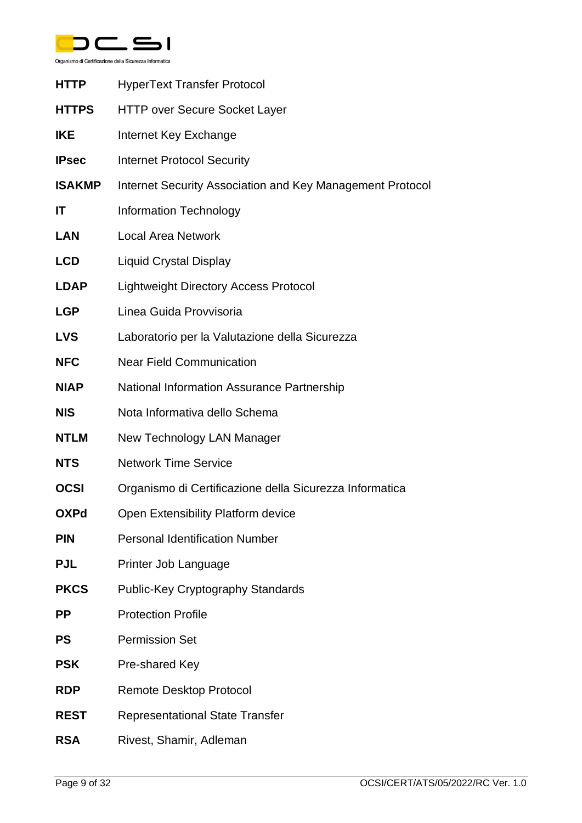

| <b>HTTP</b>   | <b>HyperText Transfer Protocol</b>                        |
|---------------|-----------------------------------------------------------|
| <b>HTTPS</b>  | <b>HTTP over Secure Socket Layer</b>                      |
| <b>IKE</b>    | Internet Key Exchange                                     |
| <b>IPsec</b>  | <b>Internet Protocol Security</b>                         |
| <b>ISAKMP</b> | Internet Security Association and Key Management Protocol |
| IT            | <b>Information Technology</b>                             |
| <b>LAN</b>    | <b>Local Area Network</b>                                 |
| <b>LCD</b>    | <b>Liquid Crystal Display</b>                             |
| <b>LDAP</b>   | <b>Lightweight Directory Access Protocol</b>              |
| <b>LGP</b>    | Linea Guida Provvisoria                                   |
| <b>LVS</b>    | Laboratorio per la Valutazione della Sicurezza            |
| <b>NFC</b>    | <b>Near Field Communication</b>                           |
| <b>NIAP</b>   | <b>National Information Assurance Partnership</b>         |
| <b>NIS</b>    | Nota Informativa dello Schema                             |
| <b>NTLM</b>   | New Technology LAN Manager                                |
| <b>NTS</b>    | <b>Network Time Service</b>                               |
| <b>OCSI</b>   | Organismo di Certificazione della Sicurezza Informatica   |
| OXPd          | Open Extensibility Platform device                        |
| <b>PIN</b>    | <b>Personal Identification Number</b>                     |
| <b>PJL</b>    | Printer Job Language                                      |
| <b>PKCS</b>   | <b>Public-Key Cryptography Standards</b>                  |
| <b>PP</b>     | <b>Protection Profile</b>                                 |
| <b>PS</b>     | <b>Permission Set</b>                                     |
| <b>PSK</b>    | Pre-shared Key                                            |
| <b>RDP</b>    | <b>Remote Desktop Protocol</b>                            |
| <b>REST</b>   | <b>Representational State Transfer</b>                    |
| <b>RSA</b>    | Rivest, Shamir, Adleman                                   |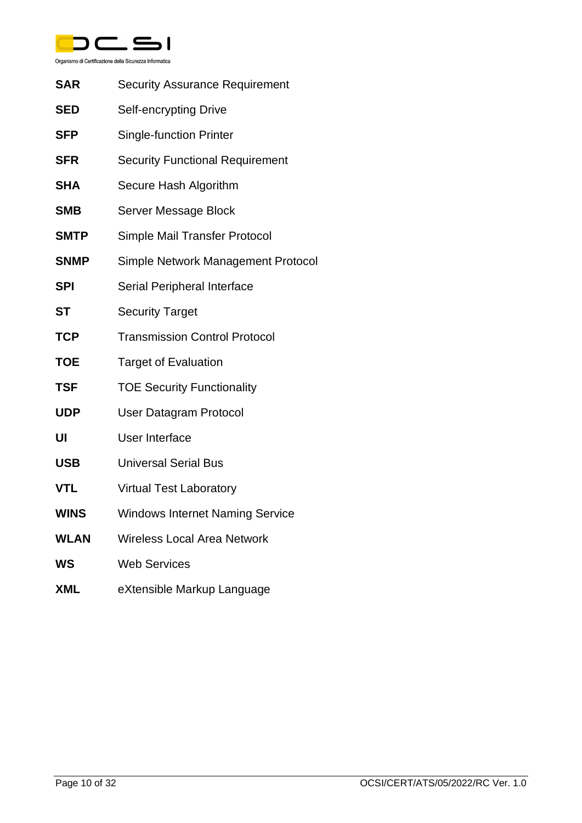

| <b>SAR</b>  | <b>Security Assurance Requirement</b>  |
|-------------|----------------------------------------|
| <b>SED</b>  | Self-encrypting Drive                  |
| <b>SFP</b>  | <b>Single-function Printer</b>         |
| <b>SFR</b>  | <b>Security Functional Requirement</b> |
| <b>SHA</b>  | Secure Hash Algorithm                  |
| <b>SMB</b>  | Server Message Block                   |
| <b>SMTP</b> | Simple Mail Transfer Protocol          |
| <b>SNMP</b> | Simple Network Management Protocol     |
| <b>SPI</b>  | Serial Peripheral Interface            |
| <b>ST</b>   | <b>Security Target</b>                 |
| <b>TCP</b>  | <b>Transmission Control Protocol</b>   |
| <b>TOE</b>  | <b>Target of Evaluation</b>            |
| <b>TSF</b>  | <b>TOE Security Functionality</b>      |
| <b>UDP</b>  | <b>User Datagram Protocol</b>          |
| UI          | <b>User Interface</b>                  |
| <b>USB</b>  | <b>Universal Serial Bus</b>            |
| <b>VTL</b>  | <b>Virtual Test Laboratory</b>         |
| <b>WINS</b> | <b>Windows Internet Naming Service</b> |
| <b>WLAN</b> | <b>Wireless Local Area Network</b>     |
| <b>WS</b>   | <b>Web Services</b>                    |
| <b>XML</b>  | eXtensible Markup Language             |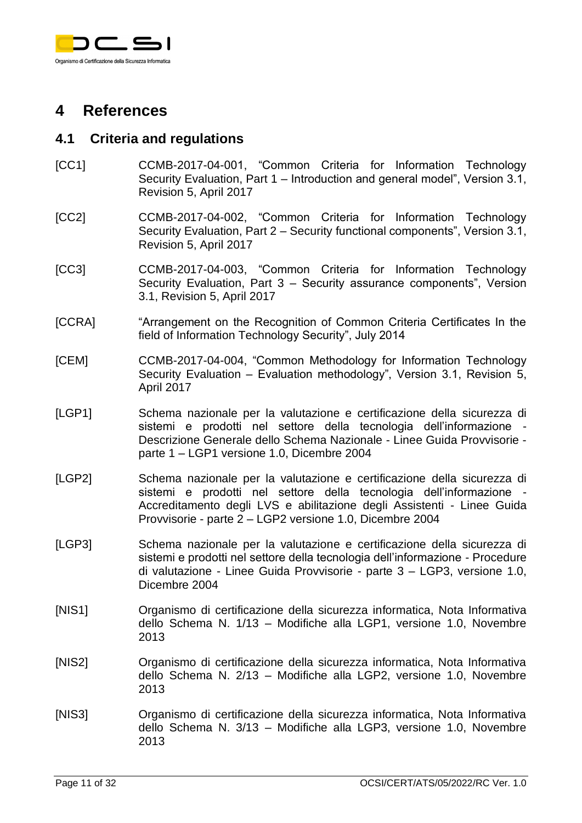

### <span id="page-10-0"></span>**4 References**

#### <span id="page-10-1"></span>**4.1 Criteria and regulations**

- [CC1] CCMB-2017-04-001, "Common Criteria for Information Technology Security Evaluation, Part 1 – Introduction and general model", Version 3.1, Revision 5, April 2017
- [CC2] CCMB-2017-04-002, "Common Criteria for Information Technology Security Evaluation, Part 2 – Security functional components", Version 3.1, Revision 5, April 2017
- [CC3] CCMB-2017-04-003, "Common Criteria for Information Technology Security Evaluation, Part 3 – Security assurance components", Version 3.1, Revision 5, April 2017
- [CCRA] "Arrangement on the Recognition of Common Criteria Certificates In the field of Information Technology Security", July 2014
- [CEM] CCMB-2017-04-004, "Common Methodology for Information Technology Security Evaluation – Evaluation methodology", Version 3.1, Revision 5, April 2017
- [LGP1] Schema nazionale per la valutazione e certificazione della sicurezza di sistemi e prodotti nel settore della tecnologia dell'informazione - Descrizione Generale dello Schema Nazionale - Linee Guida Provvisorie parte 1 – LGP1 versione 1.0, Dicembre 2004
- [LGP2] Schema nazionale per la valutazione e certificazione della sicurezza di sistemi e prodotti nel settore della tecnologia dell'informazione - Accreditamento degli LVS e abilitazione degli Assistenti - Linee Guida Provvisorie - parte 2 – LGP2 versione 1.0, Dicembre 2004
- [LGP3] Schema nazionale per la valutazione e certificazione della sicurezza di sistemi e prodotti nel settore della tecnologia dell'informazione - Procedure di valutazione - Linee Guida Provvisorie - parte 3 – LGP3, versione 1.0, Dicembre 2004
- [NIS1] Organismo di certificazione della sicurezza informatica, Nota Informativa dello Schema N. 1/13 – Modifiche alla LGP1, versione 1.0, Novembre 2013
- [NIS2] Organismo di certificazione della sicurezza informatica, Nota Informativa dello Schema N. 2/13 – Modifiche alla LGP2, versione 1.0, Novembre 2013
- [NIS3] Organismo di certificazione della sicurezza informatica, Nota Informativa dello Schema N. 3/13 – Modifiche alla LGP3, versione 1.0, Novembre 2013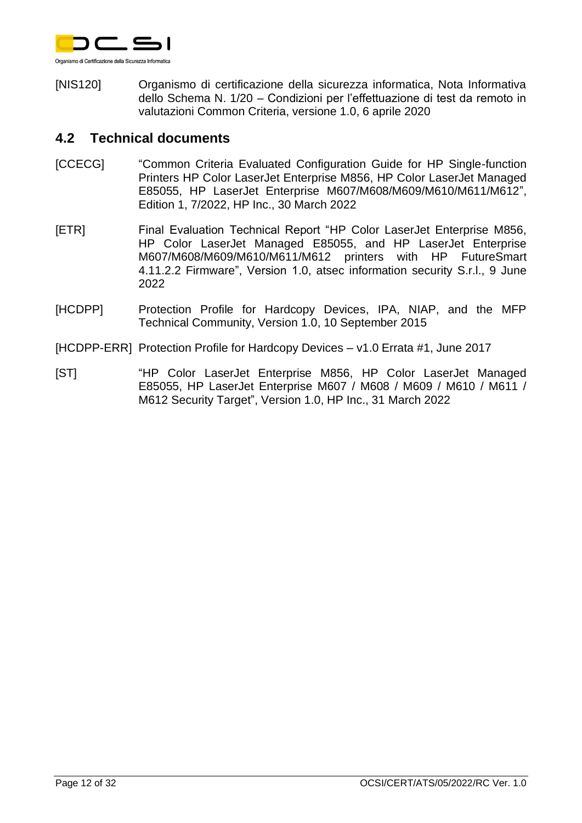

[NIS120] Organismo di certificazione della sicurezza informatica, Nota Informativa dello Schema N. 1/20 – Condizioni per l'effettuazione di test da remoto in valutazioni Common Criteria, versione 1.0, 6 aprile 2020

#### <span id="page-11-0"></span>**4.2 Technical documents**

- [CCECG] "Common Criteria Evaluated Configuration Guide for HP Single-function Printers HP Color LaserJet Enterprise M856, HP Color LaserJet Managed E85055, HP LaserJet Enterprise M607/M608/M609/M610/M611/M612", Edition 1, 7/2022, HP Inc., 30 March 2022
- [ETR] Final Evaluation Technical Report "HP Color LaserJet Enterprise M856, HP Color LaserJet Managed E85055, and HP LaserJet Enterprise M607/M608/M609/M610/M611/M612 printers with HP FutureSmart 4.11.2.2 Firmware", Version 1.0, atsec information security S.r.l., 9 June 2022
- [HCDPP] Protection Profile for Hardcopy Devices, IPA, NIAP, and the MFP Technical Community, Version 1.0, 10 September 2015
- [HCDPP-ERR] Protection Profile for Hardcopy Devices v1.0 Errata #1, June 2017
- [ST] "HP Color LaserJet Enterprise M856, HP Color LaserJet Managed E85055, HP LaserJet Enterprise M607 / M608 / M609 / M610 / M611 / M612 Security Target", Version 1.0, HP Inc., 31 March 2022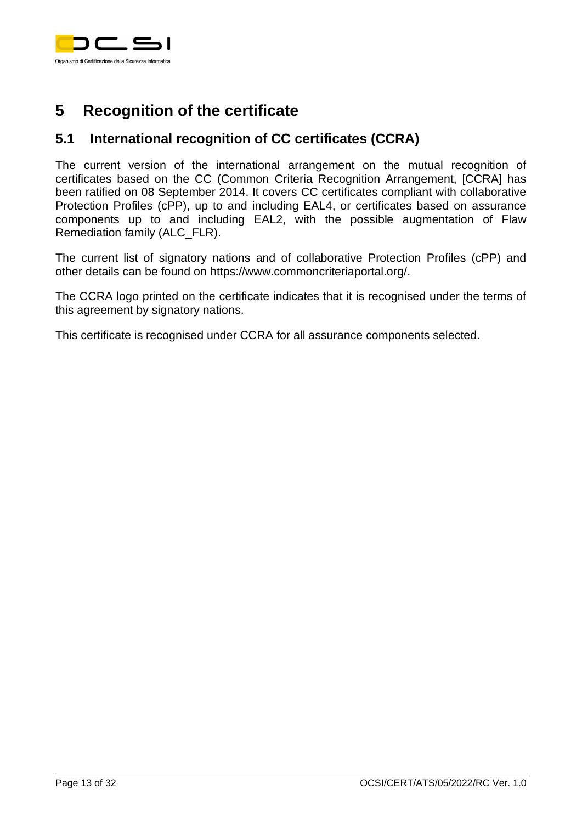

### <span id="page-12-0"></span>**5 Recognition of the certificate**

#### <span id="page-12-1"></span>**5.1 International recognition of CC certificates (CCRA)**

The current version of the international arrangement on the mutual recognition of certificates based on the CC (Common Criteria Recognition Arrangement, [CCRA] has been ratified on 08 September 2014. It covers CC certificates compliant with collaborative Protection Profiles (cPP), up to and including EAL4, or certificates based on assurance components up to and including EAL2, with the possible augmentation of Flaw Remediation family (ALC\_FLR).

The current list of signatory nations and of collaborative Protection Profiles (cPP) and other details can be found on https://www.commoncriteriaportal.org/.

The CCRA logo printed on the certificate indicates that it is recognised under the terms of this agreement by signatory nations.

This certificate is recognised under CCRA for all assurance components selected.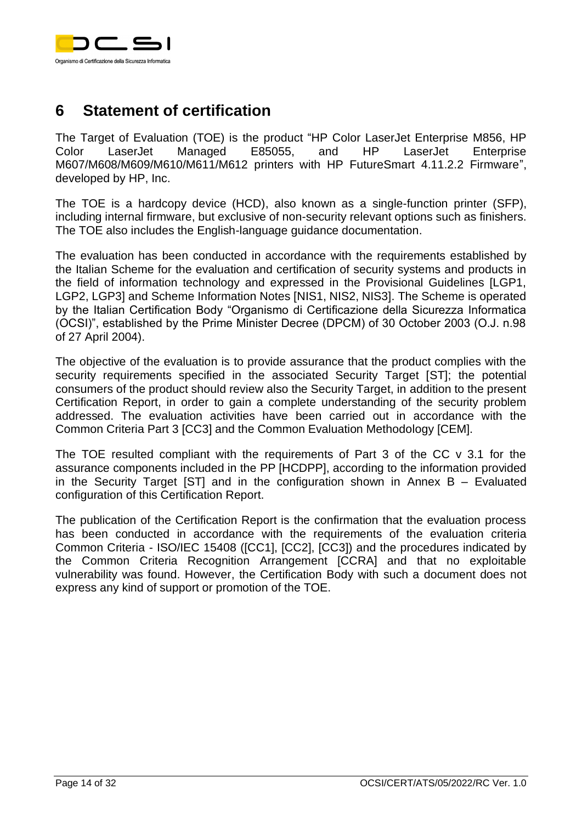

### <span id="page-13-0"></span>**6 Statement of certification**

The Target of Evaluation (TOE) is the product "HP Color LaserJet Enterprise M856, HP Color LaserJet Managed E85055, and HP LaserJet Enterprise M607/M608/M609/M610/M611/M612 printers with HP FutureSmart 4.11.2.2 Firmware", developed by HP, Inc.

The TOE is a hardcopy device (HCD), also known as a single-function printer (SFP), including internal firmware, but exclusive of non-security relevant options such as finishers. The TOE also includes the English-language guidance documentation.

The evaluation has been conducted in accordance with the requirements established by the Italian Scheme for the evaluation and certification of security systems and products in the field of information technology and expressed in the Provisional Guidelines [LGP1, LGP2, LGP3] and Scheme Information Notes [NIS1, NIS2, NIS3]. The Scheme is operated by the Italian Certification Body "Organismo di Certificazione della Sicurezza Informatica (OCSI)", established by the Prime Minister Decree (DPCM) of 30 October 2003 (O.J. n.98 of 27 April 2004).

The objective of the evaluation is to provide assurance that the product complies with the security requirements specified in the associated Security Target [ST]; the potential consumers of the product should review also the Security Target, in addition to the present Certification Report, in order to gain a complete understanding of the security problem addressed. The evaluation activities have been carried out in accordance with the Common Criteria Part 3 [CC3] and the Common Evaluation Methodology [CEM].

The TOE resulted compliant with the requirements of Part 3 of the CC v 3.1 for the assurance components included in the PP [HCDPP], according to the information provided in the Security Target [ST] and in the configuration shown in Annex  $B -$  Evaluated [configuration](#page-27-0) of this Certification Report.

The publication of the Certification Report is the confirmation that the evaluation process has been conducted in accordance with the requirements of the evaluation criteria Common Criteria - ISO/IEC 15408 ([CC1], [CC2], [CC3]) and the procedures indicated by the Common Criteria Recognition Arrangement [CCRA] and that no exploitable vulnerability was found. However, the Certification Body with such a document does not express any kind of support or promotion of the TOE.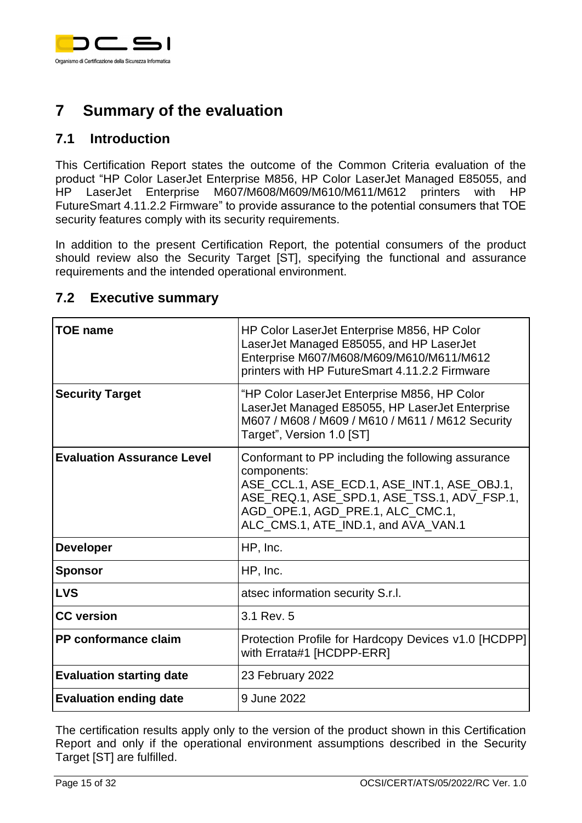

### <span id="page-14-0"></span>**7 Summary of the evaluation**

#### <span id="page-14-1"></span>**7.1 Introduction**

This Certification Report states the outcome of the Common Criteria evaluation of the product "HP Color LaserJet Enterprise M856, HP Color LaserJet Managed E85055, and HP LaserJet Enterprise M607/M608/M609/M610/M611/M612 printers with HP FutureSmart 4.11.2.2 Firmware" to provide assurance to the potential consumers that TOE security features comply with its security requirements.

In addition to the present Certification Report, the potential consumers of the product should review also the Security Target [ST], specifying the functional and assurance requirements and the intended operational environment.

| <b>TOE name</b>                   | HP Color LaserJet Enterprise M856, HP Color<br>LaserJet Managed E85055, and HP LaserJet<br>Enterprise M607/M608/M609/M610/M611/M612<br>printers with HP FutureSmart 4.11.2.2 Firmware                                                      |
|-----------------------------------|--------------------------------------------------------------------------------------------------------------------------------------------------------------------------------------------------------------------------------------------|
| <b>Security Target</b>            | "HP Color LaserJet Enterprise M856, HP Color<br>LaserJet Managed E85055, HP LaserJet Enterprise<br>M607 / M608 / M609 / M610 / M611 / M612 Security<br>Target", Version 1.0 [ST]                                                           |
| <b>Evaluation Assurance Level</b> | Conformant to PP including the following assurance<br>components:<br>ASE_CCL.1, ASE_ECD.1, ASE_INT.1, ASE_OBJ.1,<br>ASE_REQ.1, ASE_SPD.1, ASE_TSS.1, ADV_FSP.1,<br>AGD_OPE.1, AGD_PRE.1, ALC_CMC.1,<br>ALC_CMS.1, ATE_IND.1, and AVA_VAN.1 |
| <b>Developer</b>                  | HP, Inc.                                                                                                                                                                                                                                   |
| <b>Sponsor</b>                    | HP, Inc.                                                                                                                                                                                                                                   |
| <b>LVS</b>                        | atsec information security S.r.l.                                                                                                                                                                                                          |
| <b>CC</b> version                 | 3.1 Rev. 5                                                                                                                                                                                                                                 |
| PP conformance claim              | Protection Profile for Hardcopy Devices v1.0 [HCDPP]<br>with Errata#1 [HCDPP-ERR]                                                                                                                                                          |
| <b>Evaluation starting date</b>   | 23 February 2022                                                                                                                                                                                                                           |
| <b>Evaluation ending date</b>     | 9 June 2022                                                                                                                                                                                                                                |

#### <span id="page-14-2"></span>**7.2 Executive summary**

The certification results apply only to the version of the product shown in this Certification Report and only if the operational environment assumptions described in the Security Target [ST] are fulfilled.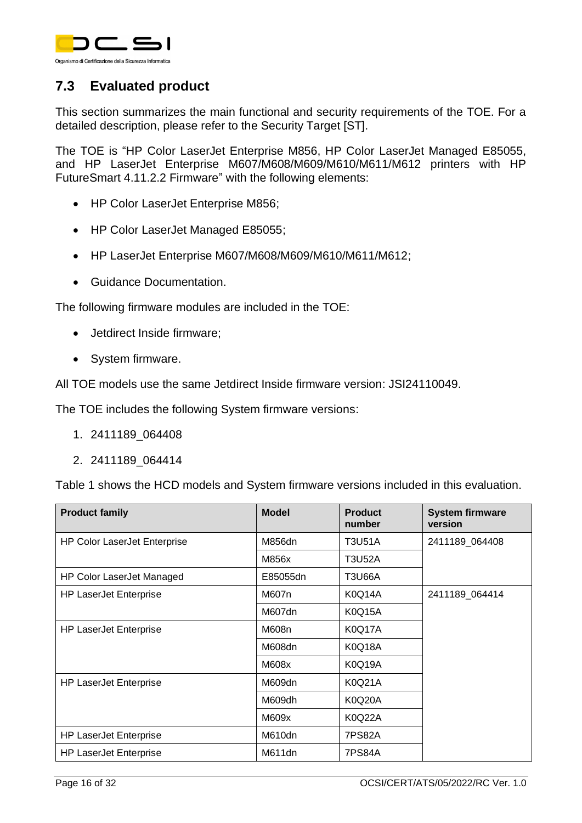

#### <span id="page-15-0"></span>**7.3 Evaluated product**

This section summarizes the main functional and security requirements of the TOE. For a detailed description, please refer to the Security Target [ST].

The TOE is "HP Color LaserJet Enterprise M856, HP Color LaserJet Managed E85055, and HP LaserJet Enterprise M607/M608/M609/M610/M611/M612 printers with HP FutureSmart 4.11.2.2 Firmware" with the following elements:

- HP Color LaserJet Enterprise M856;
- HP Color LaserJet Managed E85055;
- HP LaserJet Enterprise M607/M608/M609/M610/M611/M612;
- Guidance Documentation.

The following firmware modules are included in the TOE:

- Jetdirect Inside firmware;
- System firmware.

All TOE models use the same Jetdirect Inside firmware version: JSI24110049.

The TOE includes the following System firmware versions:

- 1. 2411189\_064408
- 2. 2411189\_064414

[Table 1](#page-16-1) shows the HCD models and System firmware versions included in this evaluation.

| <b>Product family</b>            | <b>Model</b> | <b>Product</b><br>number | <b>System firmware</b><br>version |
|----------------------------------|--------------|--------------------------|-----------------------------------|
| HP Color LaserJet Enterprise     | M856dn       | <b>T3U51A</b>            | 2411189_064408                    |
|                                  | M856x        | T3U52A                   |                                   |
| <b>HP Color LaserJet Managed</b> | E85055dn     | <b>T3U66A</b>            |                                   |
| <b>HP LaserJet Enterprise</b>    | M607n        | K0Q14A                   | 2411189_064414                    |
|                                  | M607dn       | <b>K0Q15A</b>            |                                   |
| <b>HP LaserJet Enterprise</b>    | M608n        | <b>K0Q17A</b>            |                                   |
|                                  | M608dn       | <b>K0Q18A</b>            |                                   |
|                                  | M608x        | <b>K0Q19A</b>            |                                   |
| <b>HP LaserJet Enterprise</b>    | M609dn       | K0Q21A                   |                                   |
|                                  | M609dh       | <b>K0Q20A</b>            |                                   |
|                                  | M609x        | <b>K0Q22A</b>            |                                   |
| <b>HP LaserJet Enterprise</b>    | M610dn       | <b>7PS82A</b>            |                                   |
| <b>HP LaserJet Enterprise</b>    | M611dn       | <b>7PS84A</b>            |                                   |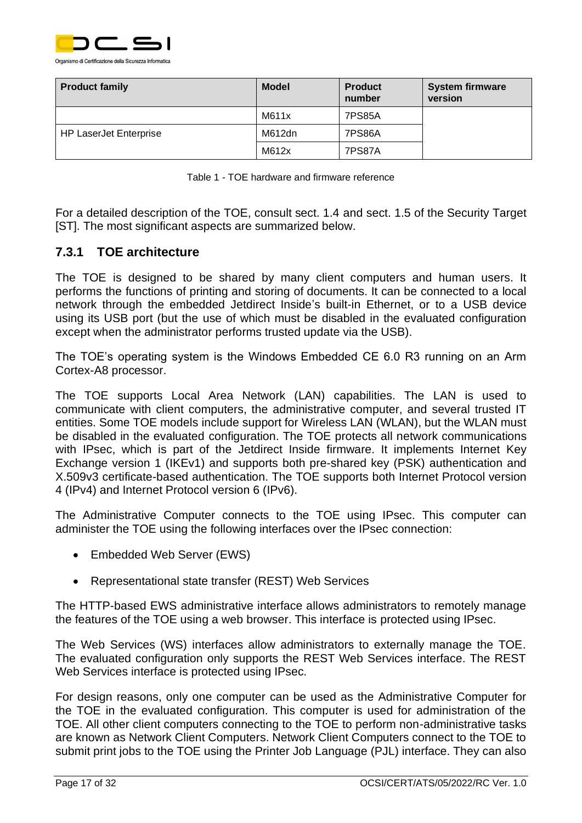

| <b>Product family</b>         | <b>Model</b> | <b>Product</b><br>number | <b>System firmware</b><br>version |
|-------------------------------|--------------|--------------------------|-----------------------------------|
|                               | M611x        | <b>7PS85A</b>            |                                   |
| <b>HP LaserJet Enterprise</b> | M612dn       | <b>7PS86A</b>            |                                   |
|                               | M612x        | <b>7PS87A</b>            |                                   |

| Table 1 - TOE hardware and firmware reference |  |  |  |
|-----------------------------------------------|--|--|--|
|-----------------------------------------------|--|--|--|

<span id="page-16-1"></span>For a detailed description of the TOE, consult sect. 1.4 and sect. 1.5 of the Security Target [ST]. The most significant aspects are summarized below.

#### <span id="page-16-0"></span>**7.3.1 TOE architecture**

The TOE is designed to be shared by many client computers and human users. It performs the functions of printing and storing of documents. It can be connected to a local network through the embedded Jetdirect Inside's built-in Ethernet, or to a USB device using its USB port (but the use of which must be disabled in the evaluated configuration except when the administrator performs trusted update via the USB).

The TOE's operating system is the Windows Embedded CE 6.0 R3 running on an Arm Cortex-A8 processor.

The TOE supports Local Area Network (LAN) capabilities. The LAN is used to communicate with client computers, the administrative computer, and several trusted IT entities. Some TOE models include support for Wireless LAN (WLAN), but the WLAN must be disabled in the evaluated configuration. The TOE protects all network communications with IPsec, which is part of the Jetdirect Inside firmware. It implements Internet Key Exchange version 1 (IKEv1) and supports both pre-shared key (PSK) authentication and X.509v3 certificate-based authentication. The TOE supports both Internet Protocol version 4 (IPv4) and Internet Protocol version 6 (IPv6).

The Administrative Computer connects to the TOE using IPsec. This computer can administer the TOE using the following interfaces over the IPsec connection:

- Embedded Web Server (EWS)
- Representational state transfer (REST) Web Services

The HTTP-based EWS administrative interface allows administrators to remotely manage the features of the TOE using a web browser. This interface is protected using IPsec.

The Web Services (WS) interfaces allow administrators to externally manage the TOE. The evaluated configuration only supports the REST Web Services interface. The REST Web Services interface is protected using IPsec.

For design reasons, only one computer can be used as the Administrative Computer for the TOE in the evaluated configuration. This computer is used for administration of the TOE. All other client computers connecting to the TOE to perform non-administrative tasks are known as Network Client Computers. Network Client Computers connect to the TOE to submit print jobs to the TOE using the Printer Job Language (PJL) interface. They can also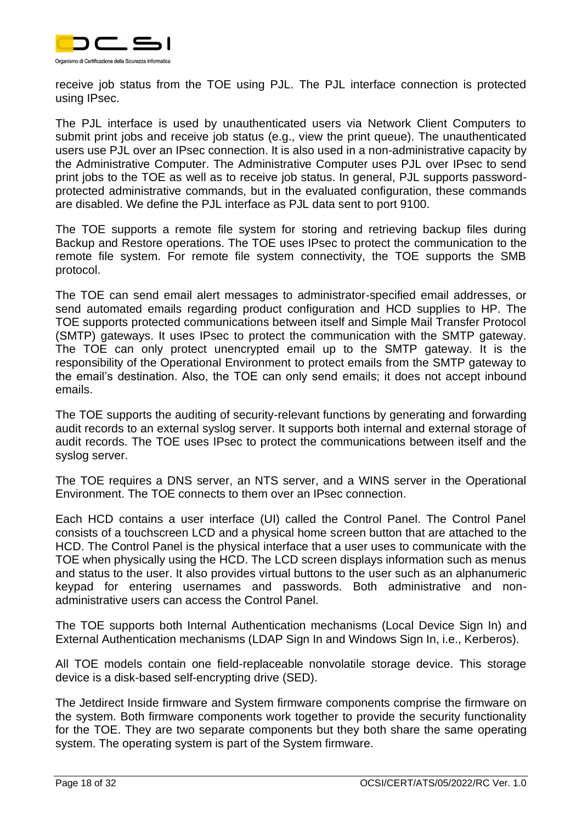

receive job status from the TOE using PJL. The PJL interface connection is protected using IPsec.

The PJL interface is used by unauthenticated users via Network Client Computers to submit print jobs and receive job status (e.g., view the print queue). The unauthenticated users use PJL over an IPsec connection. It is also used in a non-administrative capacity by the Administrative Computer. The Administrative Computer uses PJL over IPsec to send print jobs to the TOE as well as to receive job status. In general, PJL supports passwordprotected administrative commands, but in the evaluated configuration, these commands are disabled. We define the PJL interface as PJL data sent to port 9100.

The TOE supports a remote file system for storing and retrieving backup files during Backup and Restore operations. The TOE uses IPsec to protect the communication to the remote file system. For remote file system connectivity, the TOE supports the SMB protocol.

The TOE can send email alert messages to administrator-specified email addresses, or send automated emails regarding product configuration and HCD supplies to HP. The TOE supports protected communications between itself and Simple Mail Transfer Protocol (SMTP) gateways. It uses IPsec to protect the communication with the SMTP gateway. The TOE can only protect unencrypted email up to the SMTP gateway. It is the responsibility of the Operational Environment to protect emails from the SMTP gateway to the email's destination. Also, the TOE can only send emails; it does not accept inbound emails.

The TOE supports the auditing of security-relevant functions by generating and forwarding audit records to an external syslog server. It supports both internal and external storage of audit records. The TOE uses IPsec to protect the communications between itself and the syslog server.

The TOE requires a DNS server, an NTS server, and a WINS server in the Operational Environment. The TOE connects to them over an IPsec connection.

Each HCD contains a user interface (UI) called the Control Panel. The Control Panel consists of a touchscreen LCD and a physical home screen button that are attached to the HCD. The Control Panel is the physical interface that a user uses to communicate with the TOE when physically using the HCD. The LCD screen displays information such as menus and status to the user. It also provides virtual buttons to the user such as an alphanumeric keypad for entering usernames and passwords. Both administrative and nonadministrative users can access the Control Panel.

The TOE supports both Internal Authentication mechanisms (Local Device Sign In) and External Authentication mechanisms (LDAP Sign In and Windows Sign In, i.e., Kerberos).

All TOE models contain one field-replaceable nonvolatile storage device. This storage device is a disk-based self-encrypting drive (SED).

The Jetdirect Inside firmware and System firmware components comprise the firmware on the system. Both firmware components work together to provide the security functionality for the TOE. They are two separate components but they both share the same operating system. The operating system is part of the System firmware.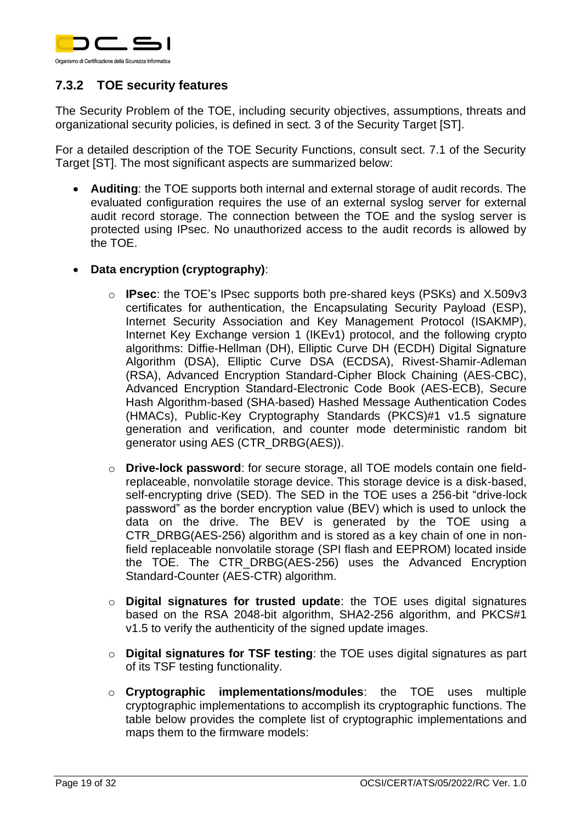

#### <span id="page-18-0"></span>**7.3.2 TOE security features**

The Security Problem of the TOE, including security objectives, assumptions, threats and organizational security policies, is defined in sect. 3 of the Security Target [ST].

For a detailed description of the TOE Security Functions, consult sect. 7.1 of the Security Target [ST]. The most significant aspects are summarized below:

- **Auditing**: the TOE supports both internal and external storage of audit records. The evaluated configuration requires the use of an external syslog server for external audit record storage. The connection between the TOE and the syslog server is protected using IPsec. No unauthorized access to the audit records is allowed by the TOE.
- **Data encryption (cryptography)**:
	- o **IPsec**: the TOE's IPsec supports both pre-shared keys (PSKs) and X.509v3 certificates for authentication, the Encapsulating Security Payload (ESP), Internet Security Association and Key Management Protocol (ISAKMP), Internet Key Exchange version 1 (IKEv1) protocol, and the following crypto algorithms: Diffie-Hellman (DH), Elliptic Curve DH (ECDH) Digital Signature Algorithm (DSA), Elliptic Curve DSA (ECDSA), Rivest-Shamir-Adleman (RSA), Advanced Encryption Standard-Cipher Block Chaining (AES-CBC), Advanced Encryption Standard-Electronic Code Book (AES-ECB), Secure Hash Algorithm-based (SHA-based) Hashed Message Authentication Codes (HMACs), Public-Key Cryptography Standards (PKCS)#1 v1.5 signature generation and verification, and counter mode deterministic random bit generator using AES (CTR\_DRBG(AES)).
	- o **Drive-lock password**: for secure storage, all TOE models contain one fieldreplaceable, nonvolatile storage device. This storage device is a disk-based, self-encrypting drive (SED). The SED in the TOE uses a 256-bit "drive-lock password" as the border encryption value (BEV) which is used to unlock the data on the drive. The BEV is generated by the TOE using a CTR\_DRBG(AES-256) algorithm and is stored as a key chain of one in nonfield replaceable nonvolatile storage (SPI flash and EEPROM) located inside the TOE. The CTR\_DRBG(AES-256) uses the Advanced Encryption Standard-Counter (AES-CTR) algorithm.
	- o **Digital signatures for trusted update**: the TOE uses digital signatures based on the RSA 2048-bit algorithm, SHA2-256 algorithm, and PKCS#1 v1.5 to verify the authenticity of the signed update images.
	- o **Digital signatures for TSF testing**: the TOE uses digital signatures as part of its TSF testing functionality.
	- o **Cryptographic implementations/modules**: the TOE uses multiple cryptographic implementations to accomplish its cryptographic functions. The table below provides the complete list of cryptographic implementations and maps them to the firmware models: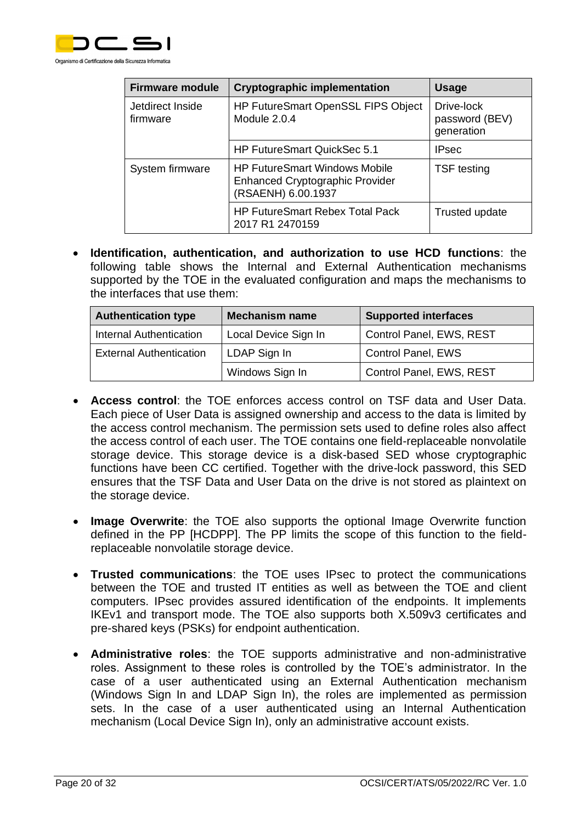

| <b>Firmware module</b>       | <b>Cryptographic implementation</b>                                                                  | <b>Usage</b>                               |
|------------------------------|------------------------------------------------------------------------------------------------------|--------------------------------------------|
| Jetdirect Inside<br>firmware | <b>HP FutureSmart OpenSSL FIPS Object</b><br>Module 2.0.4                                            | Drive-lock<br>password (BEV)<br>generation |
|                              | <b>HP FutureSmart QuickSec 5.1</b>                                                                   | <b>IPsec</b>                               |
| System firmware              | <b>HP FutureSmart Windows Mobile</b><br><b>Enhanced Cryptographic Provider</b><br>(RSAENH) 6.00.1937 | <b>TSF</b> testing                         |
|                              | <b>HP FutureSmart Rebex Total Pack</b><br>2017 R1 2470159                                            | Trusted update                             |

• **Identification, authentication, and authorization to use HCD functions**: the following table shows the Internal and External Authentication mechanisms supported by the TOE in the evaluated configuration and maps the mechanisms to the interfaces that use them:

| <b>Authentication type</b>     | <b>Mechanism name</b> | <b>Supported interfaces</b> |
|--------------------------------|-----------------------|-----------------------------|
| <b>Internal Authentication</b> | Local Device Sign In  | Control Panel, EWS, REST    |
| <b>External Authentication</b> | LDAP Sign In          | <b>Control Panel, EWS</b>   |
|                                | Windows Sign In       | Control Panel, EWS, REST    |

- **Access control**: the TOE enforces access control on TSF data and User Data. Each piece of User Data is assigned ownership and access to the data is limited by the access control mechanism. The permission sets used to define roles also affect the access control of each user. The TOE contains one field-replaceable nonvolatile storage device. This storage device is a disk-based SED whose cryptographic functions have been CC certified. Together with the drive-lock password, this SED ensures that the TSF Data and User Data on the drive is not stored as plaintext on the storage device.
- **Image Overwrite**: the TOE also supports the optional Image Overwrite function defined in the PP [HCDPP]. The PP limits the scope of this function to the fieldreplaceable nonvolatile storage device.
- **Trusted communications**: the TOE uses IPsec to protect the communications between the TOE and trusted IT entities as well as between the TOE and client computers. IPsec provides assured identification of the endpoints. It implements IKEv1 and transport mode. The TOE also supports both X.509v3 certificates and pre-shared keys (PSKs) for endpoint authentication.
- **Administrative roles**: the TOE supports administrative and non-administrative roles. Assignment to these roles is controlled by the TOE's administrator. In the case of a user authenticated using an External Authentication mechanism (Windows Sign In and LDAP Sign In), the roles are implemented as permission sets. In the case of a user authenticated using an Internal Authentication mechanism (Local Device Sign In), only an administrative account exists.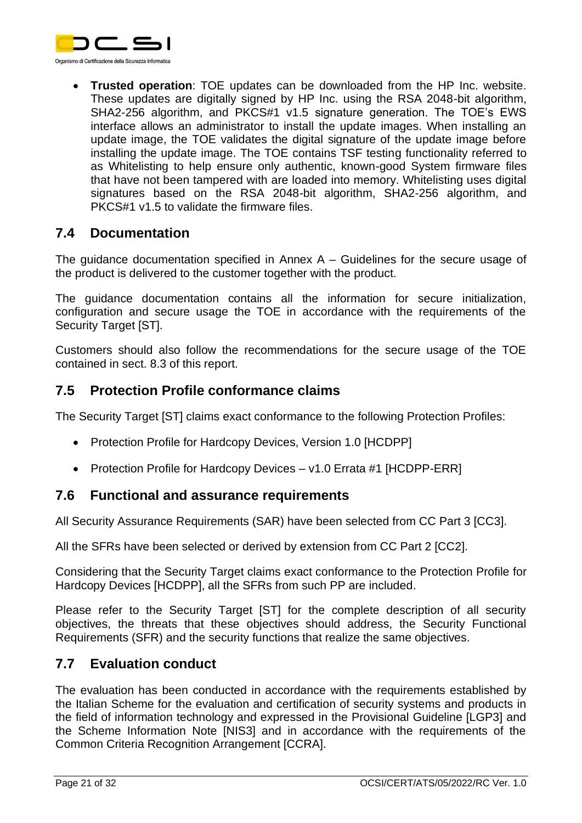

• **Trusted operation**: TOE updates can be downloaded from the HP Inc. website. These updates are digitally signed by HP Inc. using the RSA 2048-bit algorithm, SHA2-256 algorithm, and PKCS#1 v1.5 signature generation. The TOE's EWS interface allows an administrator to install the update images. When installing an update image, the TOE validates the digital signature of the update image before installing the update image. The TOE contains TSF testing functionality referred to as Whitelisting to help ensure only authentic, known-good System firmware files that have not been tampered with are loaded into memory. Whitelisting uses digital signatures based on the RSA 2048-bit algorithm, SHA2-256 algorithm, and PKCS#1 v1.5 to validate the firmware files.

#### <span id="page-20-0"></span>**7.4 Documentation**

The guidance documentation specified in Annex A – [Guidelines for the secure usage of](#page-25-0)  [the product](#page-25-0) is delivered to the customer together with the product.

The guidance documentation contains all the information for secure initialization, configuration and secure usage the TOE in accordance with the requirements of the Security Target [ST].

Customers should also follow the recommendations for the secure usage of the TOE contained in sect. [8.3](#page-23-1) of this report.

#### <span id="page-20-1"></span>**7.5 Protection Profile conformance claims**

The Security Target [ST] claims exact conformance to the following Protection Profiles:

- Protection Profile for Hardcopy Devices, Version 1.0 [HCDPP]
- Protection Profile for Hardcopy Devices v1.0 Errata #1 [HCDPP-ERR]

#### <span id="page-20-2"></span>**7.6 Functional and assurance requirements**

All Security Assurance Requirements (SAR) have been selected from CC Part 3 [CC3].

All the SFRs have been selected or derived by extension from CC Part 2 [CC2].

Considering that the Security Target claims exact conformance to the Protection Profile for Hardcopy Devices [HCDPP], all the SFRs from such PP are included.

Please refer to the Security Target [ST] for the complete description of all security objectives, the threats that these objectives should address, the Security Functional Requirements (SFR) and the security functions that realize the same objectives.

#### <span id="page-20-3"></span>**7.7 Evaluation conduct**

The evaluation has been conducted in accordance with the requirements established by the Italian Scheme for the evaluation and certification of security systems and products in the field of information technology and expressed in the Provisional Guideline [LGP3] and the Scheme Information Note [NIS3] and in accordance with the requirements of the Common Criteria Recognition Arrangement [CCRA].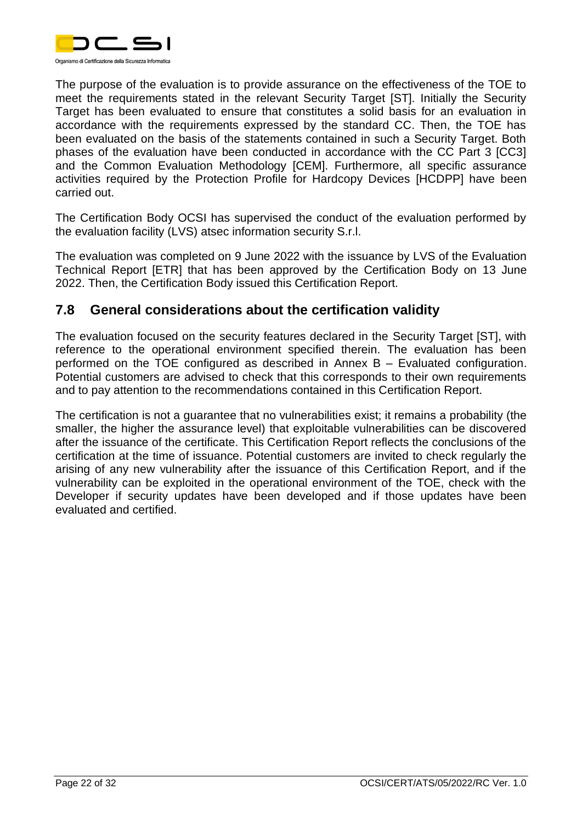

The purpose of the evaluation is to provide assurance on the effectiveness of the TOE to meet the requirements stated in the relevant Security Target [ST]. Initially the Security Target has been evaluated to ensure that constitutes a solid basis for an evaluation in accordance with the requirements expressed by the standard CC. Then, the TOE has been evaluated on the basis of the statements contained in such a Security Target. Both phases of the evaluation have been conducted in accordance with the CC Part 3 [CC3] and the Common Evaluation Methodology [CEM]. Furthermore, all specific assurance activities required by the Protection Profile for Hardcopy Devices [HCDPP] have been carried out.

The Certification Body OCSI has supervised the conduct of the evaluation performed by the evaluation facility (LVS) atsec information security S.r.l.

The evaluation was completed on 9 June 2022 with the issuance by LVS of the Evaluation Technical Report [ETR] that has been approved by the Certification Body on 13 June 2022. Then, the Certification Body issued this Certification Report.

#### <span id="page-21-0"></span>**7.8 General considerations about the certification validity**

The evaluation focused on the security features declared in the Security Target [ST], with reference to the operational environment specified therein. The evaluation has been performed on the TOE configured as described in Annex B – [Evaluated configuration.](#page-27-0) Potential customers are advised to check that this corresponds to their own requirements and to pay attention to the recommendations contained in this Certification Report.

The certification is not a guarantee that no vulnerabilities exist; it remains a probability (the smaller, the higher the assurance level) that exploitable vulnerabilities can be discovered after the issuance of the certificate. This Certification Report reflects the conclusions of the certification at the time of issuance. Potential customers are invited to check regularly the arising of any new vulnerability after the issuance of this Certification Report, and if the vulnerability can be exploited in the operational environment of the TOE, check with the Developer if security updates have been developed and if those updates have been evaluated and certified.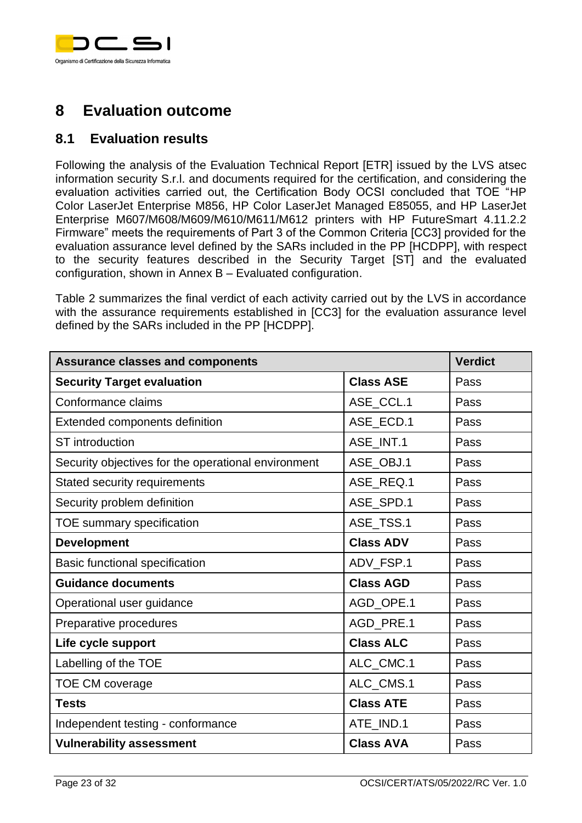

### <span id="page-22-0"></span>**8 Evaluation outcome**

#### <span id="page-22-1"></span>**8.1 Evaluation results**

Following the analysis of the Evaluation Technical Report [ETR] issued by the LVS atsec information security S.r.l. and documents required for the certification, and considering the evaluation activities carried out, the Certification Body OCSI concluded that TOE "HP Color LaserJet Enterprise M856, HP Color LaserJet Managed E85055, and HP LaserJet Enterprise M607/M608/M609/M610/M611/M612 printers with HP FutureSmart 4.11.2.2 Firmware" meets the requirements of Part 3 of the Common Criteria [CC3] provided for the evaluation assurance level defined by the SARs included in the PP [HCDPP], with respect to the security features described in the Security Target [ST] and the evaluated configuration, shown in Annex B – [Evaluated configuration.](#page-27-0)

[Table 2](#page-23-2) summarizes the final verdict of each activity carried out by the LVS in accordance with the assurance requirements established in [CC3] for the evaluation assurance level defined by the SARs included in the PP [HCDPP].

| <b>Assurance classes and components</b>             |                  | <b>Verdict</b> |
|-----------------------------------------------------|------------------|----------------|
| <b>Security Target evaluation</b>                   | <b>Class ASE</b> | Pass           |
| Conformance claims                                  | ASE_CCL.1        | Pass           |
| Extended components definition                      | ASE_ECD.1        | Pass           |
| <b>ST</b> introduction                              | ASE_INT.1        | Pass           |
| Security objectives for the operational environment | ASE_OBJ.1        | Pass           |
| Stated security requirements                        | ASE_REQ.1        | Pass           |
| Security problem definition                         | ASE_SPD.1        | Pass           |
| TOE summary specification                           | ASE_TSS.1        | Pass           |
| <b>Development</b>                                  | <b>Class ADV</b> | Pass           |
| <b>Basic functional specification</b>               | ADV_FSP.1        | Pass           |
| <b>Guidance documents</b>                           | <b>Class AGD</b> | Pass           |
| Operational user guidance                           | AGD_OPE.1        | Pass           |
| Preparative procedures                              | AGD_PRE.1        | Pass           |
| Life cycle support                                  | <b>Class ALC</b> | Pass           |
| Labelling of the TOE                                | ALC_CMC.1        | Pass           |
| TOE CM coverage                                     | ALC_CMS.1        | Pass           |
| <b>Tests</b>                                        | <b>Class ATE</b> | Pass           |
| Independent testing - conformance                   | ATE_IND.1        | Pass           |
| <b>Vulnerability assessment</b>                     | <b>Class AVA</b> | Pass           |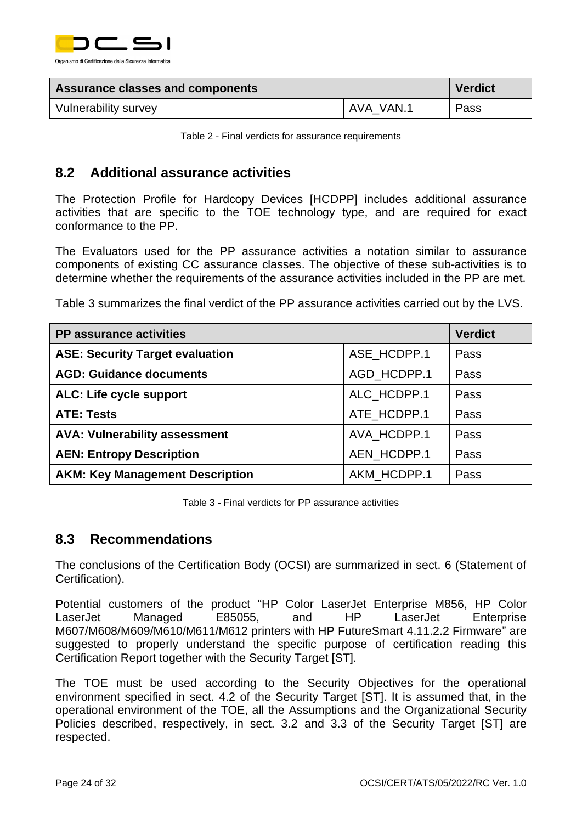

<span id="page-23-2"></span>

| Assurance classes and components |            | <b>Verdict</b> |
|----------------------------------|------------|----------------|
| Vulnerability survey             | LAVA VAN.1 | Pass           |

Table 2 - Final verdicts for assurance requirements

#### <span id="page-23-0"></span>**8.2 Additional assurance activities**

The Protection Profile for Hardcopy Devices [HCDPP] includes additional assurance activities that are specific to the TOE technology type, and are required for exact conformance to the PP.

The Evaluators used for the PP assurance activities a notation similar to assurance components of existing CC assurance classes. The objective of these sub-activities is to determine whether the requirements of the assurance activities included in the PP are met.

[Table 3](#page-23-3) summarizes the final verdict of the PP assurance activities carried out by the LVS.

| <b>PP assurance activities</b>         |             | <b>Verdict</b> |
|----------------------------------------|-------------|----------------|
| <b>ASE: Security Target evaluation</b> | ASE_HCDPP.1 | Pass           |
| <b>AGD: Guidance documents</b>         | AGD_HCDPP.1 | Pass           |
| <b>ALC: Life cycle support</b>         | ALC_HCDPP.1 | Pass           |
| <b>ATE: Tests</b>                      | ATE_HCDPP.1 | Pass           |
| <b>AVA: Vulnerability assessment</b>   | AVA_HCDPP.1 | Pass           |
| <b>AEN: Entropy Description</b>        | AEN_HCDPP.1 | Pass           |
| <b>AKM: Key Management Description</b> | AKM HCDPP.1 | Pass           |

Table 3 - Final verdicts for PP assurance activities

#### <span id="page-23-3"></span><span id="page-23-1"></span>**8.3 Recommendations**

The conclusions of the Certification Body (OCSI) are summarized in sect. [6](#page-13-0) (Statement of Certification).

Potential customers of the product "HP Color LaserJet Enterprise M856, HP Color LaserJet Managed E85055, and HP LaserJet Enterprise M607/M608/M609/M610/M611/M612 printers with HP FutureSmart 4.11.2.2 Firmware" are suggested to properly understand the specific purpose of certification reading this Certification Report together with the Security Target [ST].

The TOE must be used according to the Security Objectives for the operational environment specified in sect. 4.2 of the Security Target [ST]. It is assumed that, in the operational environment of the TOE, all the Assumptions and the Organizational Security Policies described, respectively, in sect. 3.2 and 3.3 of the Security Target [ST] are respected.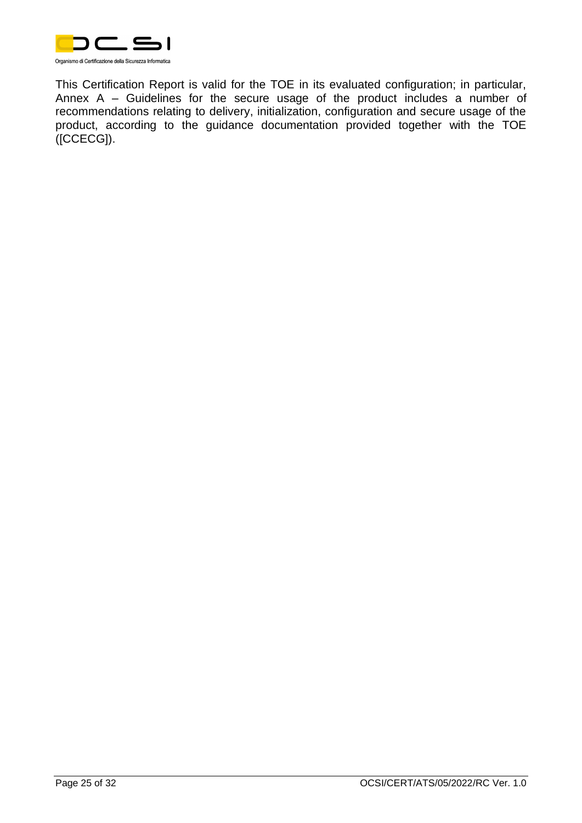

This Certification Report is valid for the TOE in its evaluated configuration; in particular, Annex A – [Guidelines for the secure usage of the product](#page-25-0) includes a number of recommendations relating to delivery, initialization, configuration and secure usage of the product, according to the guidance documentation provided together with the TOE ([CCECG]).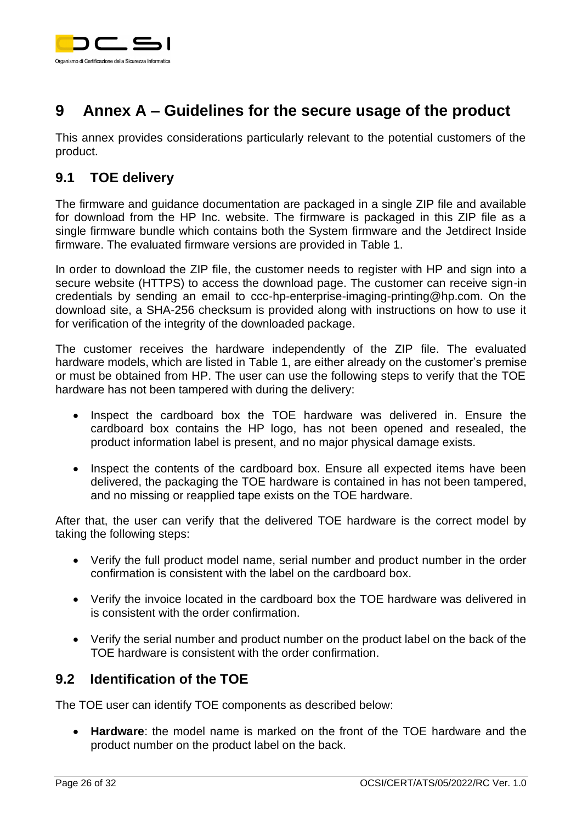

### <span id="page-25-0"></span>**9 Annex A – Guidelines for the secure usage of the product**

This annex provides considerations particularly relevant to the potential customers of the product.

#### <span id="page-25-1"></span>**9.1 TOE delivery**

The firmware and guidance documentation are packaged in a single ZIP file and available for download from the HP Inc. website. The firmware is packaged in this ZIP file as a single firmware bundle which contains both the System firmware and the Jetdirect Inside firmware. The evaluated firmware versions are provided in [Table 1.](#page-16-1)

In order to download the ZIP file, the customer needs to register with HP and sign into a secure website (HTTPS) to access the download page. The customer can receive sign-in credentials by sending an email to ccc-hp-enterprise-imaging-printing@hp.com. On the download site, a SHA-256 checksum is provided along with instructions on how to use it for verification of the integrity of the downloaded package.

The customer receives the hardware independently of the ZIP file. The evaluated hardware models, which are listed in [Table 1,](#page-16-1) are either already on the customer's premise or must be obtained from HP. The user can use the following steps to verify that the TOE hardware has not been tampered with during the delivery:

- Inspect the cardboard box the TOE hardware was delivered in. Ensure the cardboard box contains the HP logo, has not been opened and resealed, the product information label is present, and no major physical damage exists.
- Inspect the contents of the cardboard box. Ensure all expected items have been delivered, the packaging the TOE hardware is contained in has not been tampered, and no missing or reapplied tape exists on the TOE hardware.

After that, the user can verify that the delivered TOE hardware is the correct model by taking the following steps:

- Verify the full product model name, serial number and product number in the order confirmation is consistent with the label on the cardboard box.
- Verify the invoice located in the cardboard box the TOE hardware was delivered in is consistent with the order confirmation.
- Verify the serial number and product number on the product label on the back of the TOE hardware is consistent with the order confirmation.

#### <span id="page-25-2"></span>**9.2 Identification of the TOE**

The TOE user can identify TOE components as described below:

• **Hardware**: the model name is marked on the front of the TOE hardware and the product number on the product label on the back.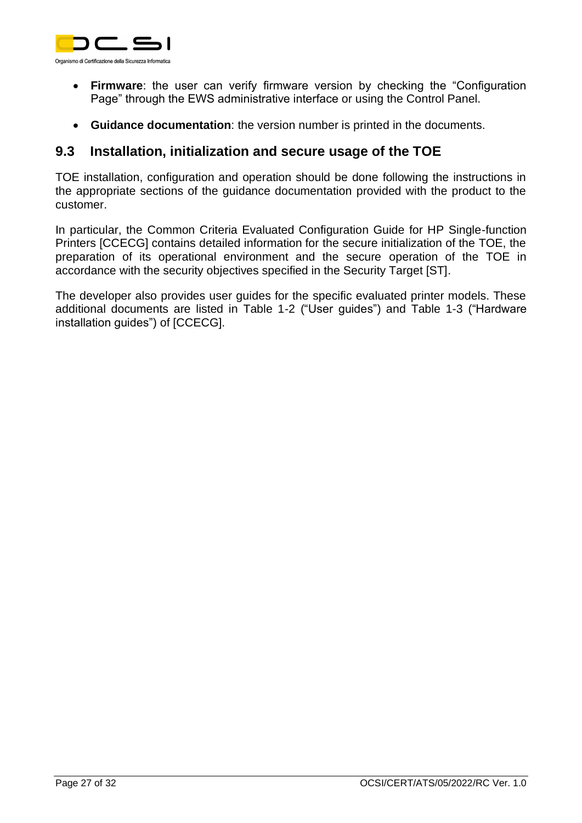

- **Firmware**: the user can verify firmware version by checking the "Configuration Page" through the EWS administrative interface or using the Control Panel.
- **Guidance documentation**: the version number is printed in the documents.

#### <span id="page-26-0"></span>**9.3 Installation, initialization and secure usage of the TOE**

TOE installation, configuration and operation should be done following the instructions in the appropriate sections of the guidance documentation provided with the product to the customer.

In particular, the Common Criteria Evaluated Configuration Guide for HP Single-function Printers [CCECG] contains detailed information for the secure initialization of the TOE, the preparation of its operational environment and the secure operation of the TOE in accordance with the security objectives specified in the Security Target [ST].

The developer also provides user guides for the specific evaluated printer models. These additional documents are listed in Table 1-2 ("User guides") and Table 1-3 ("Hardware installation guides") of [CCECG].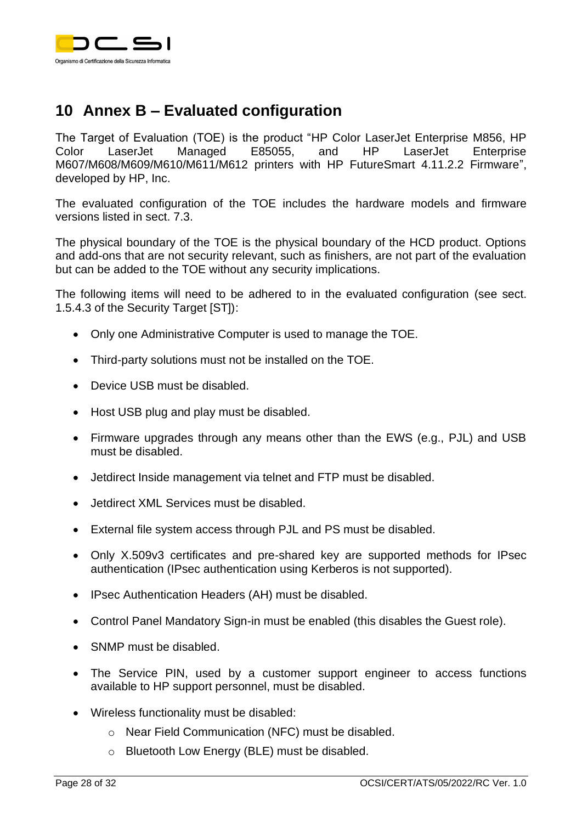

### <span id="page-27-0"></span>**10 Annex B – Evaluated configuration**

The Target of Evaluation (TOE) is the product "HP Color LaserJet Enterprise M856, HP Color LaserJet Managed E85055, and HP LaserJet Enterprise M607/M608/M609/M610/M611/M612 printers with HP FutureSmart 4.11.2.2 Firmware", developed by HP, Inc.

The evaluated configuration of the TOE includes the hardware models and firmware versions listed in sect. [7.3.](#page-15-0)

The physical boundary of the TOE is the physical boundary of the HCD product. Options and add-ons that are not security relevant, such as finishers, are not part of the evaluation but can be added to the TOE without any security implications.

The following items will need to be adhered to in the evaluated configuration (see sect. 1.5.4.3 of the Security Target [ST]):

- Only one Administrative Computer is used to manage the TOE.
- Third-party solutions must not be installed on the TOE.
- Device USB must be disabled.
- Host USB plug and play must be disabled.
- Firmware upgrades through any means other than the EWS (e.g., PJL) and USB must be disabled.
- Jetdirect Inside management via telnet and FTP must be disabled.
- Jetdirect XML Services must be disabled.
- External file system access through PJL and PS must be disabled.
- Only X.509v3 certificates and pre-shared key are supported methods for IPsec authentication (IPsec authentication using Kerberos is not supported).
- IPsec Authentication Headers (AH) must be disabled.
- Control Panel Mandatory Sign-in must be enabled (this disables the Guest role).
- SNMP must be disabled.
- The Service PIN, used by a customer support engineer to access functions available to HP support personnel, must be disabled.
- Wireless functionality must be disabled:
	- o Near Field Communication (NFC) must be disabled.
	- o Bluetooth Low Energy (BLE) must be disabled.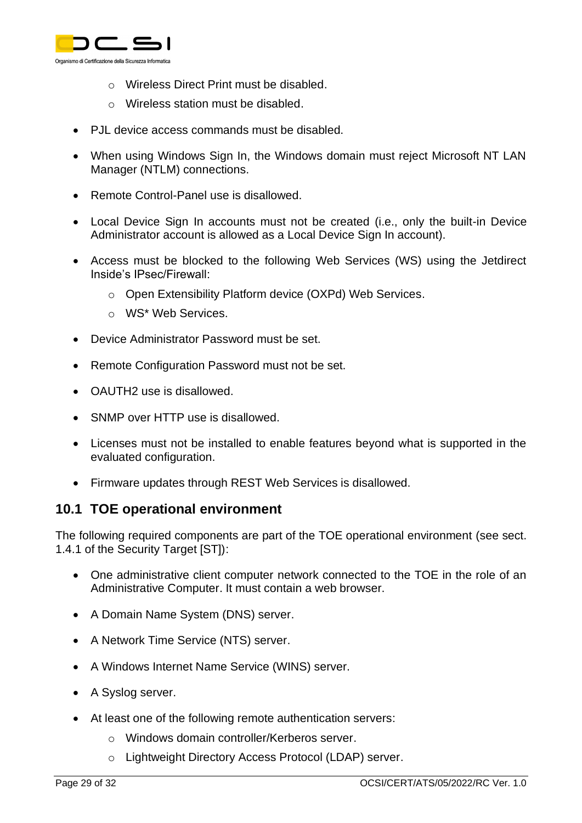

- o Wireless Direct Print must be disabled.
- o Wireless station must be disabled.
- PJL device access commands must be disabled.
- When using Windows Sign In, the Windows domain must reject Microsoft NT LAN Manager (NTLM) connections.
- Remote Control-Panel use is disallowed.
- Local Device Sign In accounts must not be created (i.e., only the built-in Device Administrator account is allowed as a Local Device Sign In account).
- Access must be blocked to the following Web Services (WS) using the Jetdirect Inside's IPsec/Firewall:
	- o Open Extensibility Platform device (OXPd) Web Services.
	- o WS\* Web Services.
- Device Administrator Password must be set
- Remote Configuration Password must not be set.
- OAUTH2 use is disallowed.
- SNMP over HTTP use is disallowed.
- Licenses must not be installed to enable features beyond what is supported in the evaluated configuration.
- Firmware updates through REST Web Services is disallowed.

#### <span id="page-28-0"></span>**10.1 TOE operational environment**

The following required components are part of the TOE operational environment (see sect. 1.4.1 of the Security Target [ST]):

- One administrative client computer network connected to the TOE in the role of an Administrative Computer. It must contain a web browser.
- A Domain Name System (DNS) server.
- A Network Time Service (NTS) server.
- A Windows Internet Name Service (WINS) server.
- A Syslog server.
- At least one of the following remote authentication servers:
	- o Windows domain controller/Kerberos server.
	- o Lightweight Directory Access Protocol (LDAP) server.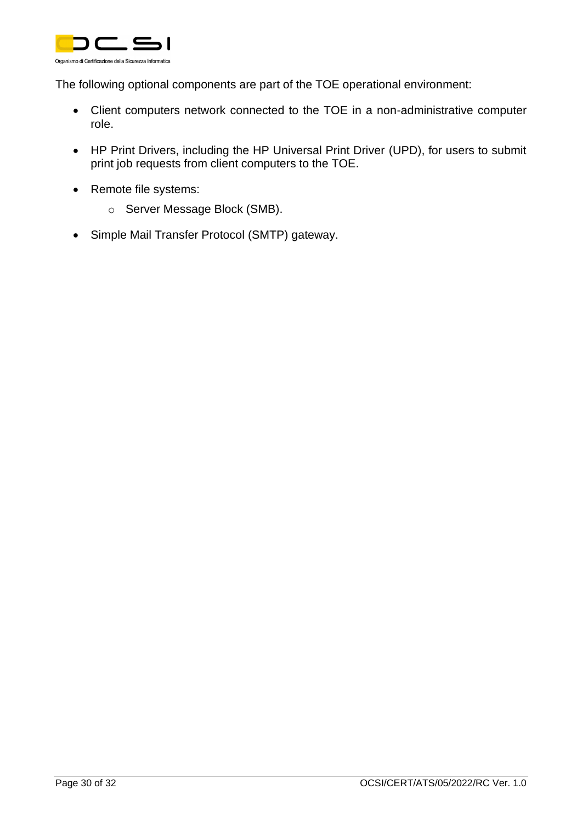

The following optional components are part of the TOE operational environment:

- Client computers network connected to the TOE in a non-administrative computer role.
- HP Print Drivers, including the HP Universal Print Driver (UPD), for users to submit print job requests from client computers to the TOE.
- Remote file systems:
	- o Server Message Block (SMB).
- Simple Mail Transfer Protocol (SMTP) gateway.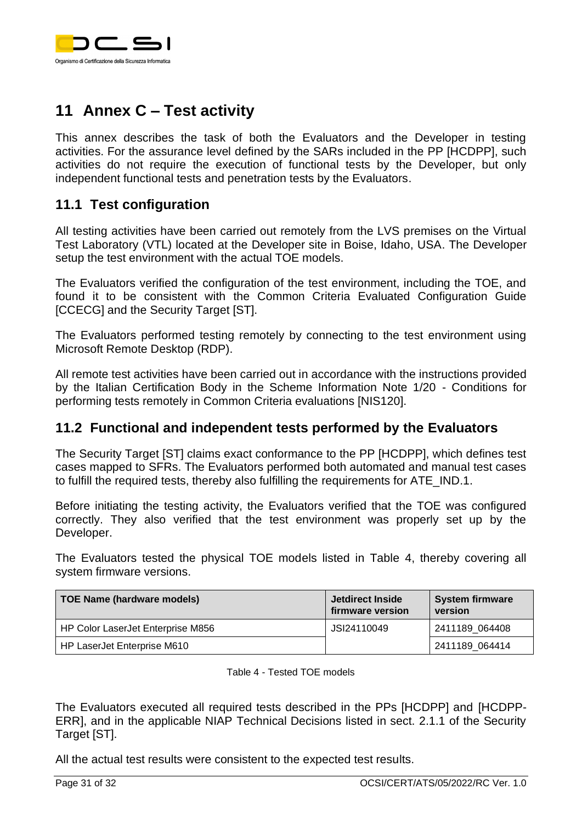

### <span id="page-30-0"></span>**11 Annex C – Test activity**

This annex describes the task of both the Evaluators and the Developer in testing activities. For the assurance level defined by the SARs included in the PP [HCDPP], such activities do not require the execution of functional tests by the Developer, but only independent functional tests and penetration tests by the Evaluators.

#### <span id="page-30-1"></span>**11.1 Test configuration**

All testing activities have been carried out remotely from the LVS premises on the Virtual Test Laboratory (VTL) located at the Developer site in Boise, Idaho, USA. The Developer setup the test environment with the actual TOE models.

The Evaluators verified the configuration of the test environment, including the TOE, and found it to be consistent with the Common Criteria Evaluated Configuration Guide [CCECG] and the Security Target [ST].

The Evaluators performed testing remotely by connecting to the test environment using Microsoft Remote Desktop (RDP).

All remote test activities have been carried out in accordance with the instructions provided by the Italian Certification Body in the Scheme Information Note 1/20 - Conditions for performing tests remotely in Common Criteria evaluations [NIS120].

#### <span id="page-30-2"></span>**11.2 Functional and independent tests performed by the Evaluators**

The Security Target [ST] claims exact conformance to the PP [HCDPP], which defines test cases mapped to SFRs. The Evaluators performed both automated and manual test cases to fulfill the required tests, thereby also fulfilling the requirements for ATE\_IND.1.

Before initiating the testing activity, the Evaluators verified that the TOE was configured correctly. They also verified that the test environment was properly set up by the Developer.

The Evaluators tested the physical TOE models listed in [Table 4,](#page-30-3) thereby covering all system firmware versions.

| <b>TOE Name (hardware models)</b> | Jetdirect Inside<br>firmware version | <b>System firmware</b><br>version |
|-----------------------------------|--------------------------------------|-----------------------------------|
| HP Color LaserJet Enterprise M856 | JSI24110049                          | 2411189 064408                    |
| HP LaserJet Enterprise M610       |                                      | 2411189 064414                    |

Table 4 - Tested TOE models

<span id="page-30-3"></span>The Evaluators executed all required tests described in the PPs [HCDPP] and [HCDPP-ERR], and in the applicable NIAP Technical Decisions listed in sect. 2.1.1 of the Security Target [ST].

All the actual test results were consistent to the expected test results.